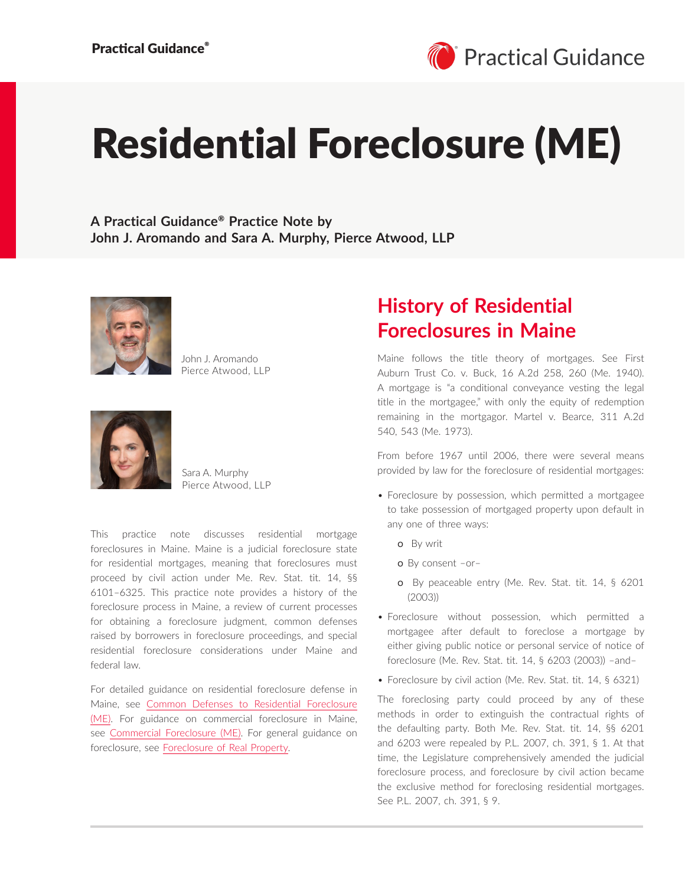# Residential Foreclosure (ME)

**A Practical Guidance**® **Practice Note by John J. Aromando and Sara A. Murphy, Pierce Atwood, LLP**



John J. Aromando Pierce Atwood, LLP



Sara A. Murphy Pierce Atwood, LLP

This practice note discusses residential mortgage foreclosures in Maine. Maine is a judicial foreclosure state for residential mortgages, meaning that foreclosures must proceed by civil action under Me. Rev. Stat. tit. 14, §§ 6101–6325. This practice note provides a history of the foreclosure process in Maine, a review of current processes for obtaining a foreclosure judgment, common defenses raised by borrowers in foreclosure proceedings, and special residential foreclosure considerations under Maine and federal law.

For detailed guidance on residential foreclosure defense in Maine, see [Common Defenses to Residential Foreclosure](https://advance.lexis.com/open/document/lpadocument/?pdmfid=1000522&pddocfullpath=%2Fshared%2Fdocument%2Fanalytical-materials%2Furn%3AcontentItem%3A623B-81C1-F06F-232B-00000-00&pdcontentcomponentid=126180&pdteaserkey=sr0&pditab=allpods&ecomp=wtrg&earg=sr0) [\(ME\).](https://advance.lexis.com/open/document/lpadocument/?pdmfid=1000522&pddocfullpath=%2Fshared%2Fdocument%2Fanalytical-materials%2Furn%3AcontentItem%3A623B-81C1-F06F-232B-00000-00&pdcontentcomponentid=126180&pdteaserkey=sr0&pditab=allpods&ecomp=wtrg&earg=sr0) For guidance on commercial foreclosure in Maine, see [Commercial Foreclosure \(ME\)](https://advance.lexis.com/open/document/lpadocument/?pdmfid=1000522&pddocfullpath=%2Fshared%2Fdocument%2Fanalytical-materials%2Furn%3AcontentItem%3A6232-85F1-FG12-603T-00000-00&pdcontentcomponentid=126180&pdteaserkey=sr0&pditab=allpods&ecomp=wtrg&earg=sr0). For general guidance on foreclosure, see [Foreclosure of Real Property](https://advance.lexis.com/open/document/lpadocument/?pdmfid=1000522&pddocfullpath=%2Fshared%2Fdocument%2Fanalytical-materials%2Furn%3AcontentItem%3A5763-9371-JB7K-20X2-00000-00&pdcontentcomponentid=382153&pdteaserkey=sr0&pditab=allpods&ecomp=wtrg&earg=sr0).

# **History of Residential Foreclosures in Maine**

Maine follows the title theory of mortgages. See First Auburn Trust Co. v. Buck, 16 A.2d 258, 260 (Me. 1940). A mortgage is "a conditional conveyance vesting the legal title in the mortgagee," with only the equity of redemption remaining in the mortgagor. Martel v. Bearce, 311 A.2d 540, 543 (Me. 1973).

From before 1967 until 2006, there were several means provided by law for the foreclosure of residential mortgages:

- Foreclosure by possession, which permitted a mortgagee to take possession of mortgaged property upon default in any one of three ways:
	- o By writ
	- o By consent –or–
	- o By peaceable entry (Me. Rev. Stat. tit. 14, § 6201 (2003))
- Foreclosure without possession, which permitted a mortgagee after default to foreclose a mortgage by either giving public notice or personal service of notice of foreclosure (Me. Rev. Stat. tit. 14, § 6203 (2003)) –and–
- Foreclosure by civil action (Me. Rev. Stat. tit. 14, § 6321)

The foreclosing party could proceed by any of these methods in order to extinguish the contractual rights of the defaulting party. Both Me. Rev. Stat. tit. 14, §§ 6201 and 6203 were repealed by P.L. 2007, ch. 391, § 1. At that time, the Legislature comprehensively amended the judicial foreclosure process, and foreclosure by civil action became the exclusive method for foreclosing residential mortgages. See P.L. 2007, ch. 391, § 9.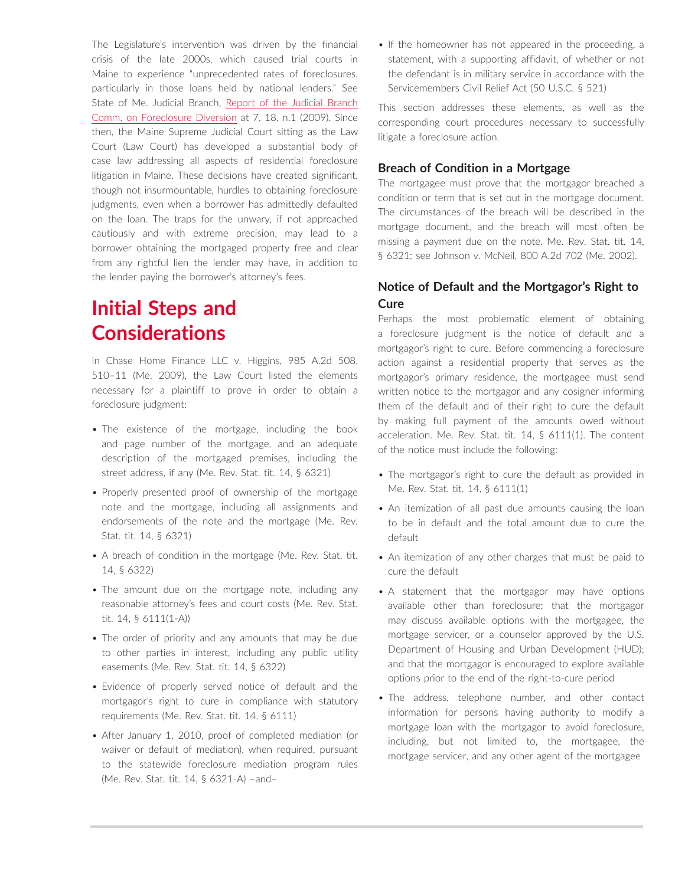The Legislature's intervention was driven by the financial crisis of the late 2000s, which caused trial courts in Maine to experience "unprecedented rates of foreclosures, particularly in those loans held by national lenders." See State of Me. Judicial Branch, [Report of the Judicial Branch](http://www.courts.state.me.us/rules_forms_fees/fdc_report0609.pdf)  [Comm. on Foreclosure Diversion](http://www.courts.state.me.us/rules_forms_fees/fdc_report0609.pdf) at 7, 18, n.1 (2009). Since then, the Maine Supreme Judicial Court sitting as the Law Court (Law Court) has developed a substantial body of case law addressing all aspects of residential foreclosure litigation in Maine. These decisions have created significant, though not insurmountable, hurdles to obtaining foreclosure judgments, even when a borrower has admittedly defaulted on the loan. The traps for the unwary, if not approached cautiously and with extreme precision, may lead to a borrower obtaining the mortgaged property free and clear from any rightful lien the lender may have, in addition to the lender paying the borrower's attorney's fees.

# **Initial Steps and Considerations**

In Chase Home Finance LLC v. Higgins, 985 A.2d 508, 510–11 (Me. 2009), the Law Court listed the elements necessary for a plaintiff to prove in order to obtain a foreclosure judgment:

- The existence of the mortgage, including the book and page number of the mortgage, and an adequate description of the mortgaged premises, including the street address, if any (Me. Rev. Stat. tit. 14, § 6321)
- Properly presented proof of ownership of the mortgage note and the mortgage, including all assignments and endorsements of the note and the mortgage (Me. Rev. Stat. tit. 14, § 6321)
- A breach of condition in the mortgage (Me. Rev. Stat. tit. 14, § 6322)
- The amount due on the mortgage note, including any reasonable attorney's fees and court costs (Me. Rev. Stat. tit. 14, § 6111(1-A))
- The order of priority and any amounts that may be due to other parties in interest, including any public utility easements (Me. Rev. Stat. tit. 14, § 6322)
- Evidence of properly served notice of default and the mortgagor's right to cure in compliance with statutory requirements (Me. Rev. Stat. tit. 14, § 6111)
- After January 1, 2010, proof of completed mediation (or waiver or default of mediation), when required, pursuant to the statewide foreclosure mediation program rules (Me. Rev. Stat. tit. 14, § 6321-A) –and–

• If the homeowner has not appeared in the proceeding, a statement, with a supporting affidavit, of whether or not the defendant is in military service in accordance with the Servicemembers Civil Relief Act (50 U.S.C. § 521)

This section addresses these elements, as well as the corresponding court procedures necessary to successfully litigate a foreclosure action.

# **Breach of Condition in a Mortgage**

The mortgagee must prove that the mortgagor breached a condition or term that is set out in the mortgage document. The circumstances of the breach will be described in the mortgage document, and the breach will most often be missing a payment due on the note. Me. Rev. Stat. tit. 14, § 6321; see Johnson v. McNeil, 800 A.2d 702 (Me. 2002).

# **Notice of Default and the Mortgagor's Right to Cure**

Perhaps the most problematic element of obtaining a foreclosure judgment is the notice of default and a mortgagor's right to cure. Before commencing a foreclosure action against a residential property that serves as the mortgagor's primary residence, the mortgagee must send written notice to the mortgagor and any cosigner informing them of the default and of their right to cure the default by making full payment of the amounts owed without acceleration. Me. Rev. Stat. tit. 14, § 6111(1). The content of the notice must include the following:

- The mortgagor's right to cure the default as provided in Me. Rev. Stat. tit. 14, § 6111(1)
- An itemization of all past due amounts causing the loan to be in default and the total amount due to cure the default
- An itemization of any other charges that must be paid to cure the default
- A statement that the mortgagor may have options available other than foreclosure; that the mortgagor may discuss available options with the mortgagee, the mortgage servicer, or a counselor approved by the U.S. Department of Housing and Urban Development (HUD); and that the mortgagor is encouraged to explore available options prior to the end of the right-to-cure period
- The address, telephone number, and other contact information for persons having authority to modify a mortgage loan with the mortgagor to avoid foreclosure, including, but not limited to, the mortgagee, the mortgage servicer, and any other agent of the mortgagee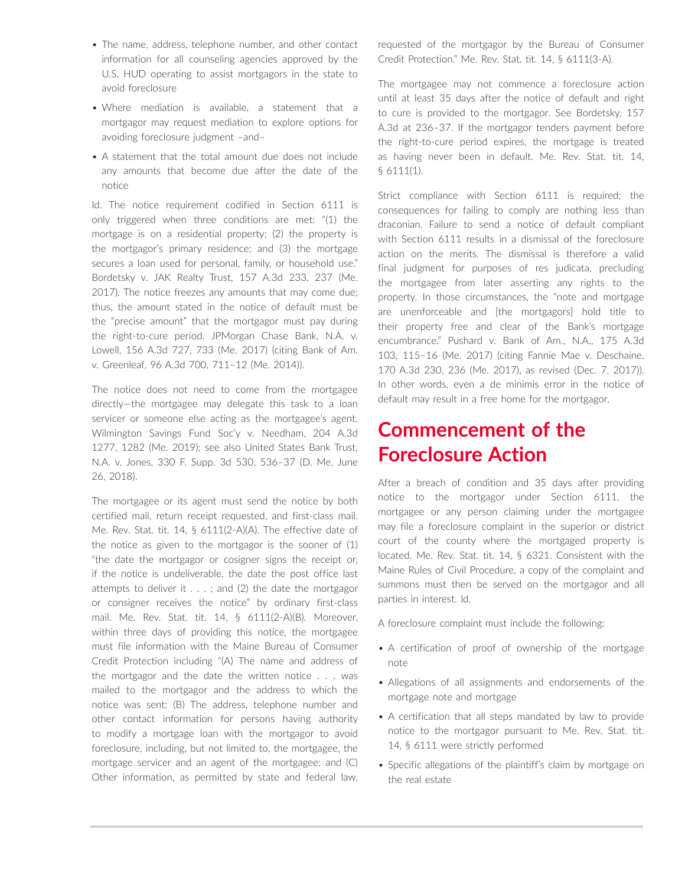- The name, address, telephone number, and other contact information for all counseling agencies approved by the U.S. HUD operating to assist mortgagors in the state to avoid foreclosure
- Where mediation is available, a statement that a mortgagor may request mediation to explore options for avoiding foreclosure judgment –and–
- A statement that the total amount due does not include any amounts that become due after the date of the notice

Id. The notice requirement codified in Section 6111 is only triggered when three conditions are met: "(1) the mortgage is on a residential property; (2) the property is the mortgagor's primary residence; and (3) the mortgage secures a loan used for personal, family, or household use." Bordetsky v. JAK Realty Trust, 157 A.3d 233, 237 (Me. 2017). The notice freezes any amounts that may come due; thus, the amount stated in the notice of default must be the "precise amount" that the mortgagor must pay during the right-to-cure period. JPMorgan Chase Bank, N.A. v. Lowell, 156 A.3d 727, 733 (Me. 2017) (citing Bank of Am. v. Greenleaf, 96 A.3d 700, 711–12 (Me. 2014)).

The notice does not need to come from the mortgagee directly—the mortgagee may delegate this task to a loan servicer or someone else acting as the mortgagee's agent. Wilmington Savings Fund Soc'y v. Needham, 204 A.3d 1277, 1282 (Me. 2019); see also United States Bank Trust, N.A. v. Jones, 330 F. Supp. 3d 530, 536–37 (D. Me. June 26, 2018).

The mortgagee or its agent must send the notice by both certified mail, return receipt requested, and first-class mail. Me. Rev. Stat. tit. 14, § 6111(2-A)(A). The effective date of the notice as given to the mortgagor is the sooner of (1) "the date the mortgagor or cosigner signs the receipt or, if the notice is undeliverable, the date the post office last attempts to deliver it  $\dots$ ; and (2) the date the mortgagor or consigner receives the notice" by ordinary first-class mail. Me. Rev. Stat. tit. 14, § 6111(2-A)(B). Moreover, within three days of providing this notice, the mortgagee must file information with the Maine Bureau of Consumer Credit Protection including "(A) The name and address of the mortgagor and the date the written notice . . . was mailed to the mortgagor and the address to which the notice was sent; (B) The address, telephone number and other contact information for persons having authority to modify a mortgage loan with the mortgagor to avoid foreclosure, including, but not limited to, the mortgagee, the mortgage servicer and an agent of the mortgagee; and (C) Other information, as permitted by state and federal law, requested of the mortgagor by the Bureau of Consumer Credit Protection." Me. Rev. Stat. tit. 14, § 6111(3-A).

The mortgagee may not commence a foreclosure action until at least 35 days after the notice of default and right to cure is provided to the mortgagor. See Bordetsky, 157 A.3d at 236–37. If the mortgagor tenders payment before the right-to-cure period expires, the mortgage is treated as having never been in default. Me. Rev. Stat. tit. 14, § 6111(1).

Strict compliance with Section 6111 is required; the consequences for failing to comply are nothing less than draconian. Failure to send a notice of default compliant with Section 6111 results in a dismissal of the foreclosure action on the merits. The dismissal is therefore a valid final judgment for purposes of res judicata, precluding the mortgagee from later asserting any rights to the property. In those circumstances, the "note and mortgage are unenforceable and [the mortgagors] hold title to their property free and clear of the Bank's mortgage encumbrance." Pushard v. Bank of Am., N.A., 175 A.3d 103, 115–16 (Me. 2017) (citing Fannie Mae v. Deschaine, 170 A.3d 230, 236 (Me. 2017), as revised (Dec. 7, 2017)). In other words, even a de minimis error in the notice of default may result in a free home for the mortgagor.

# **Commencement of the Foreclosure Action**

After a breach of condition and 35 days after providing notice to the mortgagor under Section 6111, the mortgagee or any person claiming under the mortgagee may file a foreclosure complaint in the superior or district court of the county where the mortgaged property is located. Me. Rev. Stat. tit. 14, § 6321. Consistent with the Maine Rules of Civil Procedure, a copy of the complaint and summons must then be served on the mortgagor and all parties in interest. Id.

A foreclosure complaint must include the following:

- A certification of proof of ownership of the mortgage note
- Allegations of all assignments and endorsements of the mortgage note and mortgage
- A certification that all steps mandated by law to provide notice to the mortgagor pursuant to Me. Rev. Stat. tit. 14, § 6111 were strictly performed
- Specific allegations of the plaintiff's claim by mortgage on the real estate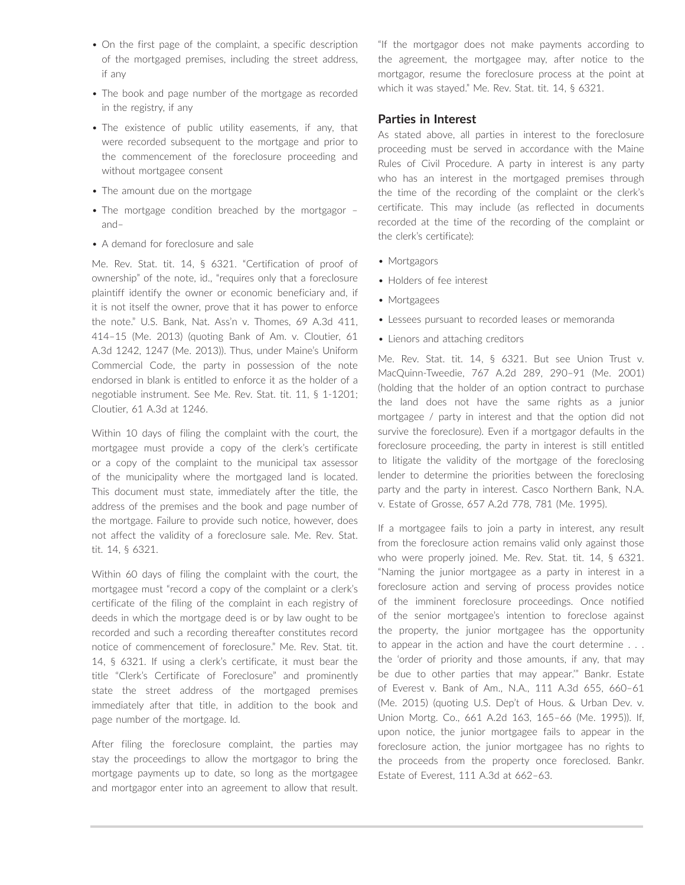- On the first page of the complaint, a specific description of the mortgaged premises, including the street address, if any
- The book and page number of the mortgage as recorded in the registry, if any
- The existence of public utility easements, if any, that were recorded subsequent to the mortgage and prior to the commencement of the foreclosure proceeding and without mortgagee consent
- The amount due on the mortgage
- The mortgage condition breached by the mortgagor and–
- A demand for foreclosure and sale

Me. Rev. Stat. tit. 14, § 6321. "Certification of proof of ownership" of the note, id., "requires only that a foreclosure plaintiff identify the owner or economic beneficiary and, if it is not itself the owner, prove that it has power to enforce the note." U.S. Bank, Nat. Ass'n v. Thomes, 69 A.3d 411, 414–15 (Me. 2013) (quoting Bank of Am. v. Cloutier, 61 A.3d 1242, 1247 (Me. 2013)). Thus, under Maine's Uniform Commercial Code, the party in possession of the note endorsed in blank is entitled to enforce it as the holder of a negotiable instrument. See Me. Rev. Stat. tit. 11, § 1-1201; Cloutier, 61 A.3d at 1246.

Within 10 days of filing the complaint with the court, the mortgagee must provide a copy of the clerk's certificate or a copy of the complaint to the municipal tax assessor of the municipality where the mortgaged land is located. This document must state, immediately after the title, the address of the premises and the book and page number of the mortgage. Failure to provide such notice, however, does not affect the validity of a foreclosure sale. Me. Rev. Stat. tit. 14, § 6321.

Within 60 days of filing the complaint with the court, the mortgagee must "record a copy of the complaint or a clerk's certificate of the filing of the complaint in each registry of deeds in which the mortgage deed is or by law ought to be recorded and such a recording thereafter constitutes record notice of commencement of foreclosure." Me. Rev. Stat. tit. 14, § 6321. If using a clerk's certificate, it must bear the title "Clerk's Certificate of Foreclosure" and prominently state the street address of the mortgaged premises immediately after that title, in addition to the book and page number of the mortgage. Id.

After filing the foreclosure complaint, the parties may stay the proceedings to allow the mortgagor to bring the mortgage payments up to date, so long as the mortgagee and mortgagor enter into an agreement to allow that result. "If the mortgagor does not make payments according to the agreement, the mortgagee may, after notice to the mortgagor, resume the foreclosure process at the point at which it was stayed." Me. Rev. Stat. tit. 14, § 6321.

## **Parties in Interest**

As stated above, all parties in interest to the foreclosure proceeding must be served in accordance with the Maine Rules of Civil Procedure. A party in interest is any party who has an interest in the mortgaged premises through the time of the recording of the complaint or the clerk's certificate. This may include (as reflected in documents recorded at the time of the recording of the complaint or the clerk's certificate):

- Mortgagors
- Holders of fee interest
- Mortgagees
- Lessees pursuant to recorded leases or memoranda
- Lienors and attaching creditors

Me. Rev. Stat. tit. 14, § 6321. But see Union Trust v. MacQuinn-Tweedie, 767 A.2d 289, 290–91 (Me. 2001) (holding that the holder of an option contract to purchase the land does not have the same rights as a junior mortgagee / party in interest and that the option did not survive the foreclosure). Even if a mortgagor defaults in the foreclosure proceeding, the party in interest is still entitled to litigate the validity of the mortgage of the foreclosing lender to determine the priorities between the foreclosing party and the party in interest. Casco Northern Bank, N.A. v. Estate of Grosse, 657 A.2d 778, 781 (Me. 1995).

If a mortgagee fails to join a party in interest, any result from the foreclosure action remains valid only against those who were properly joined. Me. Rev. Stat. tit. 14, § 6321. "Naming the junior mortgagee as a party in interest in a foreclosure action and serving of process provides notice of the imminent foreclosure proceedings. Once notified of the senior mortgagee's intention to foreclose against the property, the junior mortgagee has the opportunity to appear in the action and have the court determine . . . the 'order of priority and those amounts, if any, that may be due to other parties that may appear.'" Bankr. Estate of Everest v. Bank of Am., N.A., 111 A.3d 655, 660–61 (Me. 2015) (quoting U.S. Dep't of Hous. & Urban Dev. v. Union Mortg. Co., 661 A.2d 163, 165–66 (Me. 1995)). If, upon notice, the junior mortgagee fails to appear in the foreclosure action, the junior mortgagee has no rights to the proceeds from the property once foreclosed. Bankr. Estate of Everest, 111 A.3d at 662–63.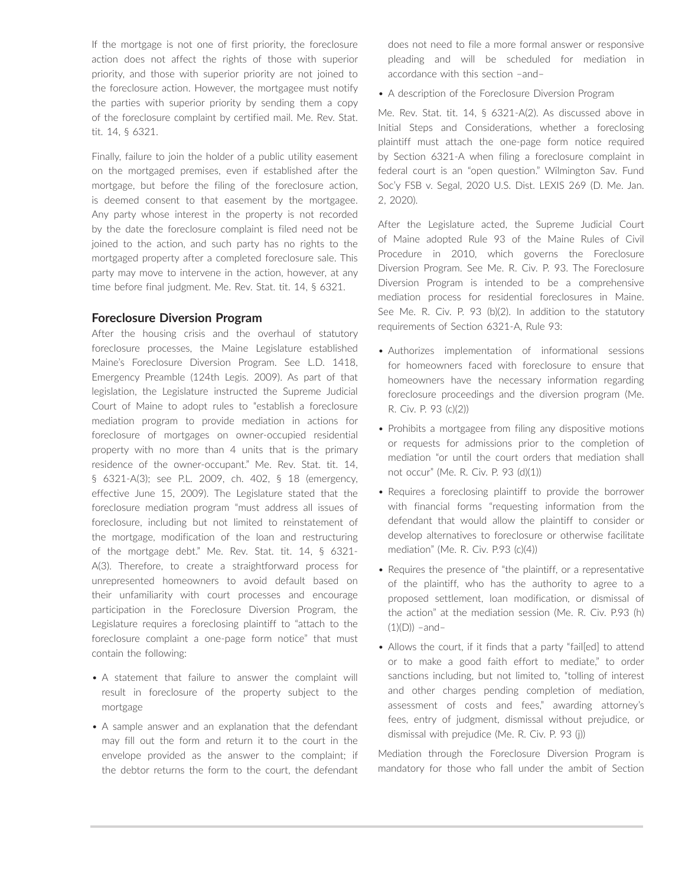If the mortgage is not one of first priority, the foreclosure action does not affect the rights of those with superior priority, and those with superior priority are not joined to the foreclosure action. However, the mortgagee must notify the parties with superior priority by sending them a copy of the foreclosure complaint by certified mail. Me. Rev. Stat. tit. 14, § 6321.

Finally, failure to join the holder of a public utility easement on the mortgaged premises, even if established after the mortgage, but before the filing of the foreclosure action, is deemed consent to that easement by the mortgagee. Any party whose interest in the property is not recorded by the date the foreclosure complaint is filed need not be joined to the action, and such party has no rights to the mortgaged property after a completed foreclosure sale. This party may move to intervene in the action, however, at any time before final judgment. Me. Rev. Stat. tit. 14, § 6321.

## **Foreclosure Diversion Program**

After the housing crisis and the overhaul of statutory foreclosure processes, the Maine Legislature established Maine's Foreclosure Diversion Program. See L.D. 1418, Emergency Preamble (124th Legis. 2009). As part of that legislation, the Legislature instructed the Supreme Judicial Court of Maine to adopt rules to "establish a foreclosure mediation program to provide mediation in actions for foreclosure of mortgages on owner-occupied residential property with no more than 4 units that is the primary residence of the owner-occupant." Me. Rev. Stat. tit. 14, § 6321-A(3); see P.L. 2009, ch. 402, § 18 (emergency, effective June 15, 2009). The Legislature stated that the foreclosure mediation program "must address all issues of foreclosure, including but not limited to reinstatement of the mortgage, modification of the loan and restructuring of the mortgage debt." Me. Rev. Stat. tit. 14, § 6321- A(3). Therefore, to create a straightforward process for unrepresented homeowners to avoid default based on their unfamiliarity with court processes and encourage participation in the Foreclosure Diversion Program, the Legislature requires a foreclosing plaintiff to "attach to the foreclosure complaint a one-page form notice" that must contain the following:

- A statement that failure to answer the complaint will result in foreclosure of the property subject to the mortgage
- A sample answer and an explanation that the defendant may fill out the form and return it to the court in the envelope provided as the answer to the complaint; if the debtor returns the form to the court, the defendant

does not need to file a more formal answer or responsive pleading and will be scheduled for mediation in accordance with this section –and–

• A description of the Foreclosure Diversion Program

Me. Rev. Stat. tit. 14, § 6321-A(2). As discussed above in Initial Steps and Considerations, whether a foreclosing plaintiff must attach the one-page form notice required by Section 6321-A when filing a foreclosure complaint in federal court is an "open question." Wilmington Sav. Fund Soc'y FSB v. Segal, 2020 U.S. Dist. LEXIS 269 (D. Me. Jan. 2, 2020).

After the Legislature acted, the Supreme Judicial Court of Maine adopted Rule 93 of the Maine Rules of Civil Procedure in 2010, which governs the Foreclosure Diversion Program. See Me. R. Civ. P. 93. The Foreclosure Diversion Program is intended to be a comprehensive mediation process for residential foreclosures in Maine. See Me. R. Civ. P. 93 (b)(2). In addition to the statutory requirements of Section 6321-A, Rule 93:

- Authorizes implementation of informational sessions for homeowners faced with foreclosure to ensure that homeowners have the necessary information regarding foreclosure proceedings and the diversion program (Me. R. Civ. P. 93 (c)(2))
- Prohibits a mortgagee from filing any dispositive motions or requests for admissions prior to the completion of mediation "or until the court orders that mediation shall not occur" (Me. R. Civ. P. 93 (d)(1))
- Requires a foreclosing plaintiff to provide the borrower with financial forms "requesting information from the defendant that would allow the plaintiff to consider or develop alternatives to foreclosure or otherwise facilitate mediation" (Me. R. Civ. P.93 (c)(4))
- Requires the presence of "the plaintiff, or a representative of the plaintiff, who has the authority to agree to a proposed settlement, loan modification, or dismissal of the action" at the mediation session (Me. R. Civ. P.93 (h)  $(1)(D))$  –and–
- Allows the court, if it finds that a party "fail[ed] to attend or to make a good faith effort to mediate," to order sanctions including, but not limited to, "tolling of interest and other charges pending completion of mediation, assessment of costs and fees," awarding attorney's fees, entry of judgment, dismissal without prejudice, or dismissal with prejudice (Me. R. Civ. P. 93 (j))

Mediation through the Foreclosure Diversion Program is mandatory for those who fall under the ambit of Section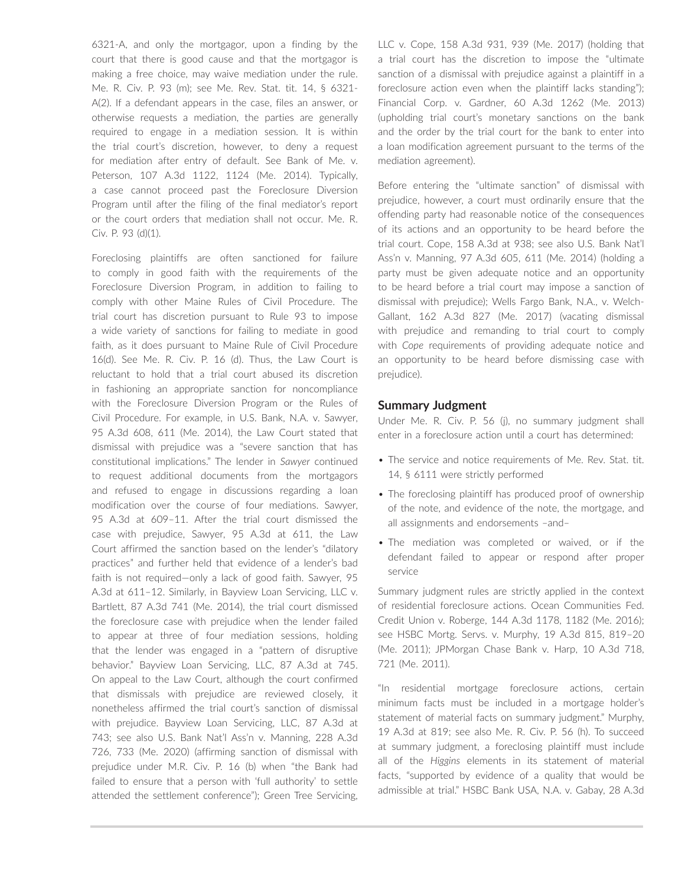6321-A, and only the mortgagor, upon a finding by the court that there is good cause and that the mortgagor is making a free choice, may waive mediation under the rule. Me. R. Civ. P. 93 (m); see Me. Rev. Stat. tit. 14, § 6321- A(2). If a defendant appears in the case, files an answer, or otherwise requests a mediation, the parties are generally required to engage in a mediation session. It is within the trial court's discretion, however, to deny a request for mediation after entry of default. See Bank of Me. v. Peterson, 107 A.3d 1122, 1124 (Me. 2014). Typically, a case cannot proceed past the Foreclosure Diversion Program until after the filing of the final mediator's report or the court orders that mediation shall not occur. Me. R. Civ. P. 93 (d)(1).

Foreclosing plaintiffs are often sanctioned for failure to comply in good faith with the requirements of the Foreclosure Diversion Program, in addition to failing to comply with other Maine Rules of Civil Procedure. The trial court has discretion pursuant to Rule 93 to impose a wide variety of sanctions for failing to mediate in good faith, as it does pursuant to Maine Rule of Civil Procedure 16(d). See Me. R. Civ. P. 16 (d). Thus, the Law Court is reluctant to hold that a trial court abused its discretion in fashioning an appropriate sanction for noncompliance with the Foreclosure Diversion Program or the Rules of Civil Procedure. For example, in U.S. Bank, N.A. v. Sawyer, 95 A.3d 608, 611 (Me. 2014), the Law Court stated that dismissal with prejudice was a "severe sanction that has constitutional implications." The lender in *Sawyer* continued to request additional documents from the mortgagors and refused to engage in discussions regarding a loan modification over the course of four mediations. Sawyer, 95 A.3d at 609–11. After the trial court dismissed the case with prejudice, Sawyer, 95 A.3d at 611, the Law Court affirmed the sanction based on the lender's "dilatory practices" and further held that evidence of a lender's bad faith is not required—only a lack of good faith. Sawyer, 95 A.3d at 611–12. Similarly, in Bayview Loan Servicing, LLC v. Bartlett, 87 A.3d 741 (Me. 2014), the trial court dismissed the foreclosure case with prejudice when the lender failed to appear at three of four mediation sessions, holding that the lender was engaged in a "pattern of disruptive behavior." Bayview Loan Servicing, LLC, 87 A.3d at 745. On appeal to the Law Court, although the court confirmed that dismissals with prejudice are reviewed closely, it nonetheless affirmed the trial court's sanction of dismissal with prejudice. Bayview Loan Servicing, LLC, 87 A.3d at 743; see also U.S. Bank Nat'l Ass'n v. Manning, 228 A.3d 726, 733 (Me. 2020) (affirming sanction of dismissal with prejudice under M.R. Civ. P. 16 (b) when "the Bank had failed to ensure that a person with 'full authority' to settle attended the settlement conference"); Green Tree Servicing,

LLC v. Cope, 158 A.3d 931, 939 (Me. 2017) (holding that a trial court has the discretion to impose the "ultimate sanction of a dismissal with prejudice against a plaintiff in a foreclosure action even when the plaintiff lacks standing"); Financial Corp. v. Gardner, 60 A.3d 1262 (Me. 2013) (upholding trial court's monetary sanctions on the bank and the order by the trial court for the bank to enter into a loan modification agreement pursuant to the terms of the mediation agreement).

Before entering the "ultimate sanction" of dismissal with prejudice, however, a court must ordinarily ensure that the offending party had reasonable notice of the consequences of its actions and an opportunity to be heard before the trial court. Cope, 158 A.3d at 938; see also U.S. Bank Nat'l Ass'n v. Manning, 97 A.3d 605, 611 (Me. 2014) (holding a party must be given adequate notice and an opportunity to be heard before a trial court may impose a sanction of dismissal with prejudice); Wells Fargo Bank, N.A., v. Welch-Gallant, 162 A.3d 827 (Me. 2017) (vacating dismissal with prejudice and remanding to trial court to comply with *Cope* requirements of providing adequate notice and an opportunity to be heard before dismissing case with prejudice).

## **Summary Judgment**

Under Me. R. Civ. P. 56 (j), no summary judgment shall enter in a foreclosure action until a court has determined:

- The service and notice requirements of Me. Rev. Stat. tit. 14, § 6111 were strictly performed
- The foreclosing plaintiff has produced proof of ownership of the note, and evidence of the note, the mortgage, and all assignments and endorsements –and–
- The mediation was completed or waived, or if the defendant failed to appear or respond after proper service

Summary judgment rules are strictly applied in the context of residential foreclosure actions. Ocean Communities Fed. Credit Union v. Roberge, 144 A.3d 1178, 1182 (Me. 2016); see HSBC Mortg. Servs. v. Murphy, 19 A.3d 815, 819–20 (Me. 2011); JPMorgan Chase Bank v. Harp, 10 A.3d 718, 721 (Me. 2011).

"In residential mortgage foreclosure actions, certain minimum facts must be included in a mortgage holder's statement of material facts on summary judgment." Murphy, 19 A.3d at 819; see also Me. R. Civ. P. 56 (h). To succeed at summary judgment, a foreclosing plaintiff must include all of the *Higgins* elements in its statement of material facts, "supported by evidence of a quality that would be admissible at trial." HSBC Bank USA, N.A. v. Gabay, 28 A.3d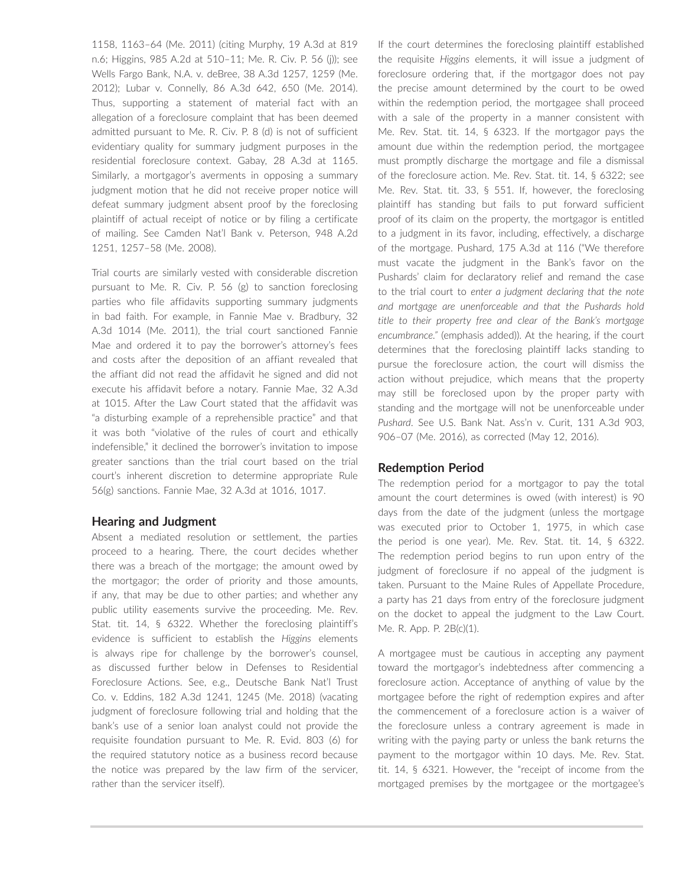1158, 1163–64 (Me. 2011) (citing Murphy, 19 A.3d at 819 n.6; Higgins, 985 A.2d at 510–11; Me. R. Civ. P. 56 (j)); see Wells Fargo Bank, N.A. v. deBree, 38 A.3d 1257, 1259 (Me. 2012); Lubar v. Connelly, 86 A.3d 642, 650 (Me. 2014). Thus, supporting a statement of material fact with an allegation of a foreclosure complaint that has been deemed admitted pursuant to Me. R. Civ. P. 8 (d) is not of sufficient evidentiary quality for summary judgment purposes in the residential foreclosure context. Gabay, 28 A.3d at 1165. Similarly, a mortgagor's averments in opposing a summary judgment motion that he did not receive proper notice will defeat summary judgment absent proof by the foreclosing plaintiff of actual receipt of notice or by filing a certificate of mailing. See Camden Nat'l Bank v. Peterson, 948 A.2d 1251, 1257–58 (Me. 2008).

Trial courts are similarly vested with considerable discretion pursuant to Me. R. Civ. P. 56 (g) to sanction foreclosing parties who file affidavits supporting summary judgments in bad faith. For example, in Fannie Mae v. Bradbury, 32 A.3d 1014 (Me. 2011), the trial court sanctioned Fannie Mae and ordered it to pay the borrower's attorney's fees and costs after the deposition of an affiant revealed that the affiant did not read the affidavit he signed and did not execute his affidavit before a notary. Fannie Mae, 32 A.3d at 1015. After the Law Court stated that the affidavit was "a disturbing example of a reprehensible practice" and that it was both "violative of the rules of court and ethically indefensible," it declined the borrower's invitation to impose greater sanctions than the trial court based on the trial court's inherent discretion to determine appropriate Rule 56(g) sanctions. Fannie Mae, 32 A.3d at 1016, 1017.

## **Hearing and Judgment**

Absent a mediated resolution or settlement, the parties proceed to a hearing. There, the court decides whether there was a breach of the mortgage; the amount owed by the mortgagor; the order of priority and those amounts, if any, that may be due to other parties; and whether any public utility easements survive the proceeding. Me. Rev. Stat. tit. 14, § 6322. Whether the foreclosing plaintiff's evidence is sufficient to establish the *Higgins* elements is always ripe for challenge by the borrower's counsel, as discussed further below in Defenses to Residential Foreclosure Actions. See, e.g., Deutsche Bank Nat'l Trust Co. v. Eddins, 182 A.3d 1241, 1245 (Me. 2018) (vacating judgment of foreclosure following trial and holding that the bank's use of a senior loan analyst could not provide the requisite foundation pursuant to Me. R. Evid. 803 (6) for the required statutory notice as a business record because the notice was prepared by the law firm of the servicer, rather than the servicer itself).

If the court determines the foreclosing plaintiff established the requisite *Higgins* elements, it will issue a judgment of foreclosure ordering that, if the mortgagor does not pay the precise amount determined by the court to be owed within the redemption period, the mortgagee shall proceed with a sale of the property in a manner consistent with Me. Rev. Stat. tit. 14, § 6323. If the mortgagor pays the amount due within the redemption period, the mortgagee must promptly discharge the mortgage and file a dismissal of the foreclosure action. Me. Rev. Stat. tit. 14, § 6322; see Me. Rev. Stat. tit. 33, § 551. If, however, the foreclosing plaintiff has standing but fails to put forward sufficient proof of its claim on the property, the mortgagor is entitled to a judgment in its favor, including, effectively, a discharge of the mortgage. Pushard, 175 A.3d at 116 ("We therefore must vacate the judgment in the Bank's favor on the Pushards' claim for declaratory relief and remand the case to the trial court to *enter a judgment declaring that the note and mortgage are unenforceable and that the Pushards hold title to their property free and clear of the Bank's mortgage encumbrance."* (emphasis added)). At the hearing, if the court determines that the foreclosing plaintiff lacks standing to pursue the foreclosure action, the court will dismiss the action without prejudice, which means that the property may still be foreclosed upon by the proper party with standing and the mortgage will not be unenforceable under *Pushard*. See U.S. Bank Nat. Ass'n v. Curit, 131 A.3d 903, 906–07 (Me. 2016), as corrected (May 12, 2016).

# **Redemption Period**

The redemption period for a mortgagor to pay the total amount the court determines is owed (with interest) is 90 days from the date of the judgment (unless the mortgage was executed prior to October 1, 1975, in which case the period is one year). Me. Rev. Stat. tit. 14, § 6322. The redemption period begins to run upon entry of the judgment of foreclosure if no appeal of the judgment is taken. Pursuant to the Maine Rules of Appellate Procedure, a party has 21 days from entry of the foreclosure judgment on the docket to appeal the judgment to the Law Court. Me. R. App. P. 2B(c)(1).

A mortgagee must be cautious in accepting any payment toward the mortgagor's indebtedness after commencing a foreclosure action. Acceptance of anything of value by the mortgagee before the right of redemption expires and after the commencement of a foreclosure action is a waiver of the foreclosure unless a contrary agreement is made in writing with the paying party or unless the bank returns the payment to the mortgagor within 10 days. Me. Rev. Stat. tit. 14, § 6321. However, the "receipt of income from the mortgaged premises by the mortgagee or the mortgagee's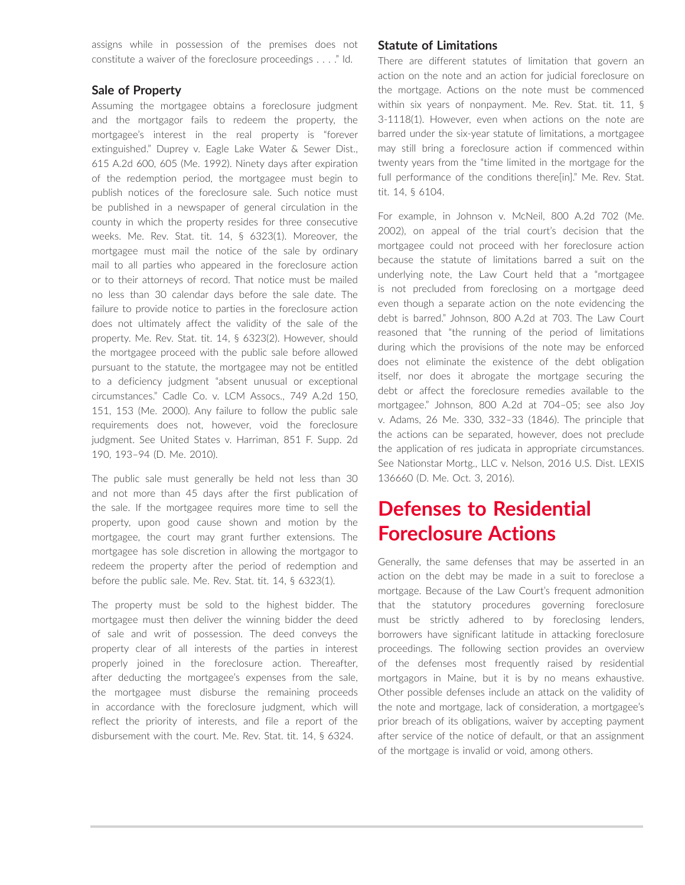assigns while in possession of the premises does not constitute a waiver of the foreclosure proceedings . . . ." Id.

#### **Sale of Property**

Assuming the mortgagee obtains a foreclosure judgment and the mortgagor fails to redeem the property, the mortgagee's interest in the real property is "forever extinguished." Duprey v. Eagle Lake Water & Sewer Dist., 615 A.2d 600, 605 (Me. 1992). Ninety days after expiration of the redemption period, the mortgagee must begin to publish notices of the foreclosure sale. Such notice must be published in a newspaper of general circulation in the county in which the property resides for three consecutive weeks. Me. Rev. Stat. tit. 14, § 6323(1). Moreover, the mortgagee must mail the notice of the sale by ordinary mail to all parties who appeared in the foreclosure action or to their attorneys of record. That notice must be mailed no less than 30 calendar days before the sale date. The failure to provide notice to parties in the foreclosure action does not ultimately affect the validity of the sale of the property. Me. Rev. Stat. tit. 14, § 6323(2). However, should the mortgagee proceed with the public sale before allowed pursuant to the statute, the mortgagee may not be entitled to a deficiency judgment "absent unusual or exceptional circumstances." Cadle Co. v. LCM Assocs., 749 A.2d 150, 151, 153 (Me. 2000). Any failure to follow the public sale requirements does not, however, void the foreclosure judgment. See United States v. Harriman, 851 F. Supp. 2d 190, 193–94 (D. Me. 2010).

The public sale must generally be held not less than 30 and not more than 45 days after the first publication of the sale. If the mortgagee requires more time to sell the property, upon good cause shown and motion by the mortgagee, the court may grant further extensions. The mortgagee has sole discretion in allowing the mortgagor to redeem the property after the period of redemption and before the public sale. Me. Rev. Stat. tit. 14, § 6323(1).

The property must be sold to the highest bidder. The mortgagee must then deliver the winning bidder the deed of sale and writ of possession. The deed conveys the property clear of all interests of the parties in interest properly joined in the foreclosure action. Thereafter, after deducting the mortgagee's expenses from the sale, the mortgagee must disburse the remaining proceeds in accordance with the foreclosure judgment, which will reflect the priority of interests, and file a report of the disbursement with the court. Me. Rev. Stat. tit. 14, § 6324.

## **Statute of Limitations**

There are different statutes of limitation that govern an action on the note and an action for judicial foreclosure on the mortgage. Actions on the note must be commenced within six years of nonpayment. Me. Rev. Stat. tit. 11, § 3-1118(1). However, even when actions on the note are barred under the six-year statute of limitations, a mortgagee may still bring a foreclosure action if commenced within twenty years from the "time limited in the mortgage for the full performance of the conditions there[in]." Me. Rev. Stat. tit. 14, § 6104.

For example, in Johnson v. McNeil, 800 A.2d 702 (Me. 2002), on appeal of the trial court's decision that the mortgagee could not proceed with her foreclosure action because the statute of limitations barred a suit on the underlying note, the Law Court held that a "mortgagee is not precluded from foreclosing on a mortgage deed even though a separate action on the note evidencing the debt is barred." Johnson, 800 A.2d at 703. The Law Court reasoned that "the running of the period of limitations during which the provisions of the note may be enforced does not eliminate the existence of the debt obligation itself, nor does it abrogate the mortgage securing the debt or affect the foreclosure remedies available to the mortgagee." Johnson, 800 A.2d at 704–05; see also Joy v. Adams, 26 Me. 330, 332–33 (1846). The principle that the actions can be separated, however, does not preclude the application of res judicata in appropriate circumstances. See Nationstar Mortg., LLC v. Nelson, 2016 U.S. Dist. LEXIS 136660 (D. Me. Oct. 3, 2016).

# **Defenses to Residential Foreclosure Actions**

Generally, the same defenses that may be asserted in an action on the debt may be made in a suit to foreclose a mortgage. Because of the Law Court's frequent admonition that the statutory procedures governing foreclosure must be strictly adhered to by foreclosing lenders, borrowers have significant latitude in attacking foreclosure proceedings. The following section provides an overview of the defenses most frequently raised by residential mortgagors in Maine, but it is by no means exhaustive. Other possible defenses include an attack on the validity of the note and mortgage, lack of consideration, a mortgagee's prior breach of its obligations, waiver by accepting payment after service of the notice of default, or that an assignment of the mortgage is invalid or void, among others.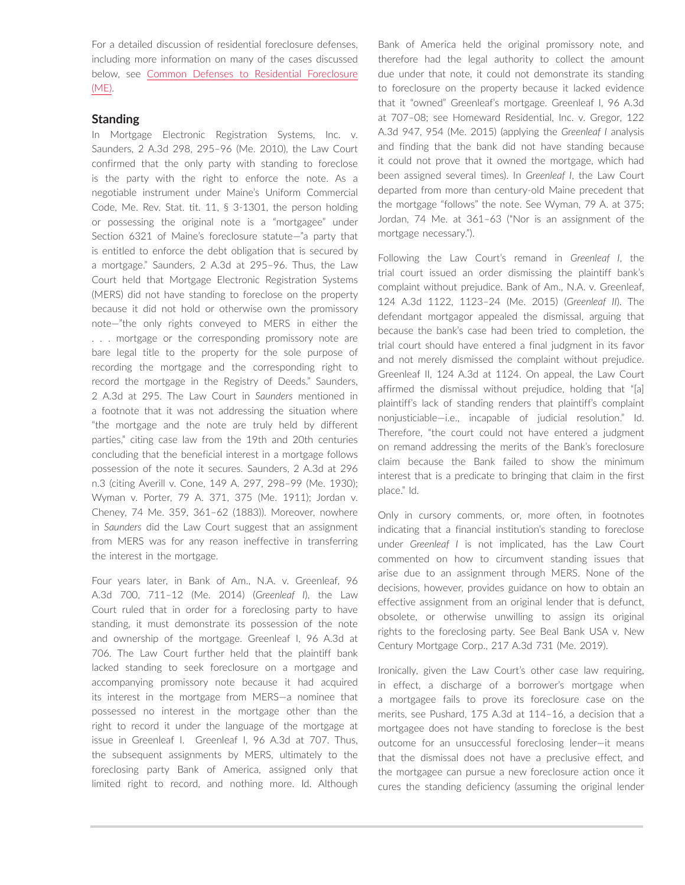For a detailed discussion of residential foreclosure defenses, including more information on many of the cases discussed below, see [Common Defenses to Residential Foreclosure](https://advance.lexis.com/open/document/lpadocument/?pdmfid=1000522&pddocfullpath=%2Fshared%2Fdocument%2Fanalytical-materials%2Furn%3AcontentItem%3A623B-81C1-F06F-232B-00000-00&pdcontentcomponentid=126180&pdteaserkey=sr0&pditab=allpods&ecomp=wtrg&earg=sr0)  [\(ME\)](https://advance.lexis.com/open/document/lpadocument/?pdmfid=1000522&pddocfullpath=%2Fshared%2Fdocument%2Fanalytical-materials%2Furn%3AcontentItem%3A623B-81C1-F06F-232B-00000-00&pdcontentcomponentid=126180&pdteaserkey=sr0&pditab=allpods&ecomp=wtrg&earg=sr0).

## **Standing**

In Mortgage Electronic Registration Systems, Inc. v. Saunders, 2 A.3d 298, 295–96 (Me. 2010), the Law Court confirmed that the only party with standing to foreclose is the party with the right to enforce the note. As a negotiable instrument under Maine's Uniform Commercial Code, Me. Rev. Stat. tit. 11, § 3-1301, the person holding or possessing the original note is a "mortgagee" under Section 6321 of Maine's foreclosure statute—"a party that is entitled to enforce the debt obligation that is secured by a mortgage." Saunders, 2 A.3d at 295–96. Thus, the Law Court held that Mortgage Electronic Registration Systems (MERS) did not have standing to foreclose on the property because it did not hold or otherwise own the promissory note—"the only rights conveyed to MERS in either the . . . mortgage or the corresponding promissory note are bare legal title to the property for the sole purpose of recording the mortgage and the corresponding right to record the mortgage in the Registry of Deeds." Saunders, 2 A.3d at 295. The Law Court in *Saunders* mentioned in a footnote that it was not addressing the situation where "the mortgage and the note are truly held by different parties," citing case law from the 19th and 20th centuries concluding that the beneficial interest in a mortgage follows possession of the note it secures. Saunders, 2 A.3d at 296 n.3 (citing Averill v. Cone, 149 A. 297, 298–99 (Me. 1930); Wyman v. Porter, 79 A. 371, 375 (Me. 1911); Jordan v. Cheney, 74 Me. 359, 361–62 (1883)). Moreover, nowhere in *Saunders* did the Law Court suggest that an assignment from MERS was for any reason ineffective in transferring the interest in the mortgage.

Four years later, in Bank of Am., N.A. v. Greenleaf, 96 A.3d 700, 711–12 (Me. 2014) (*Greenleaf I*), the Law Court ruled that in order for a foreclosing party to have standing, it must demonstrate its possession of the note and ownership of the mortgage. Greenleaf I, 96 A.3d at 706. The Law Court further held that the plaintiff bank lacked standing to seek foreclosure on a mortgage and accompanying promissory note because it had acquired its interest in the mortgage from MERS—a nominee that possessed no interest in the mortgage other than the right to record it under the language of the mortgage at issue in Greenleaf I. Greenleaf I, 96 A.3d at 707. Thus, the subsequent assignments by MERS, ultimately to the foreclosing party Bank of America, assigned only that limited right to record, and nothing more. Id. Although Bank of America held the original promissory note, and therefore had the legal authority to collect the amount due under that note, it could not demonstrate its standing to foreclosure on the property because it lacked evidence that it "owned" Greenleaf's mortgage. Greenleaf I, 96 A.3d at 707–08; see Homeward Residential, Inc. v. Gregor, 122 A.3d 947, 954 (Me. 2015) (applying the *Greenleaf I* analysis and finding that the bank did not have standing because it could not prove that it owned the mortgage, which had been assigned several times). In *Greenleaf I*, the Law Court departed from more than century-old Maine precedent that the mortgage "follows" the note. See Wyman, 79 A. at 375; Jordan, 74 Me. at 361–63 ("Nor is an assignment of the mortgage necessary.").

Following the Law Court's remand in *Greenleaf I*, the trial court issued an order dismissing the plaintiff bank's complaint without prejudice. Bank of Am., N.A. v. Greenleaf, 124 A.3d 1122, 1123–24 (Me. 2015) (*Greenleaf II*). The defendant mortgagor appealed the dismissal, arguing that because the bank's case had been tried to completion, the trial court should have entered a final judgment in its favor and not merely dismissed the complaint without prejudice. Greenleaf II, 124 A.3d at 1124. On appeal, the Law Court affirmed the dismissal without prejudice, holding that "[a] plaintiff's lack of standing renders that plaintiff's complaint nonjusticiable—i.e., incapable of judicial resolution." Id. Therefore, "the court could not have entered a judgment on remand addressing the merits of the Bank's foreclosure claim because the Bank failed to show the minimum interest that is a predicate to bringing that claim in the first place." Id.

Only in cursory comments, or, more often, in footnotes indicating that a financial institution's standing to foreclose under *Greenleaf I* is not implicated, has the Law Court commented on how to circumvent standing issues that arise due to an assignment through MERS. None of the decisions, however, provides guidance on how to obtain an effective assignment from an original lender that is defunct, obsolete, or otherwise unwilling to assign its original rights to the foreclosing party. See Beal Bank USA v. New Century Mortgage Corp., 217 A.3d 731 (Me. 2019).

Ironically, given the Law Court's other case law requiring, in effect, a discharge of a borrower's mortgage when a mortgagee fails to prove its foreclosure case on the merits, see Pushard, 175 A.3d at 114–16, a decision that a mortgagee does not have standing to foreclose is the best outcome for an unsuccessful foreclosing lender—it means that the dismissal does not have a preclusive effect, and the mortgagee can pursue a new foreclosure action once it cures the standing deficiency (assuming the original lender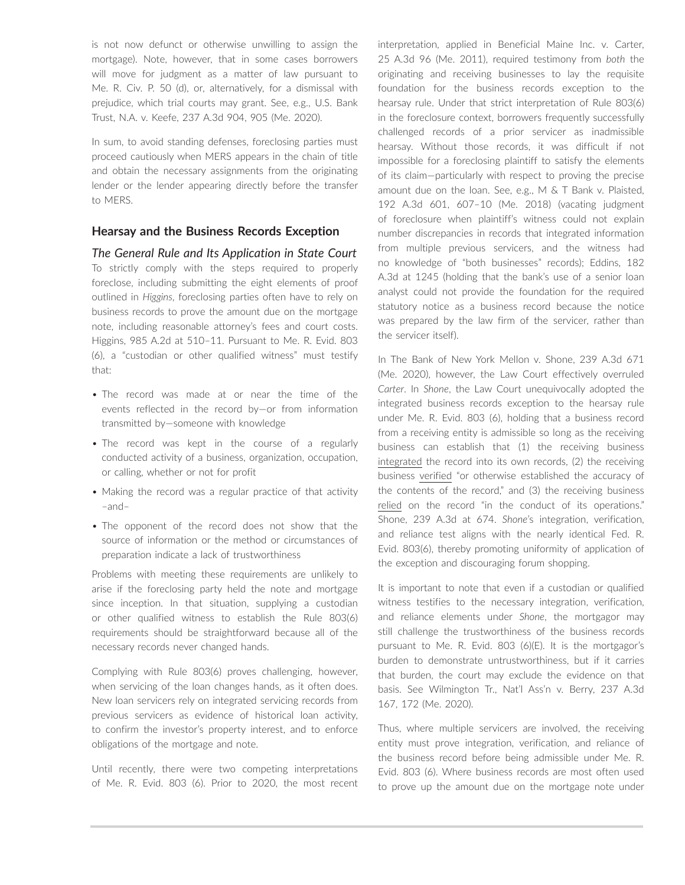is not now defunct or otherwise unwilling to assign the mortgage). Note, however, that in some cases borrowers will move for judgment as a matter of law pursuant to Me. R. Civ. P. 50 (d), or, alternatively, for a dismissal with prejudice, which trial courts may grant. See, e.g., U.S. Bank Trust, N.A. v. Keefe, 237 A.3d 904, 905 (Me. 2020).

In sum, to avoid standing defenses, foreclosing parties must proceed cautiously when MERS appears in the chain of title and obtain the necessary assignments from the originating lender or the lender appearing directly before the transfer to MERS.

## **Hearsay and the Business Records Exception**

*The General Rule and Its Application in State Court* To strictly comply with the steps required to properly foreclose, including submitting the eight elements of proof outlined in *Higgins*, foreclosing parties often have to rely on business records to prove the amount due on the mortgage note, including reasonable attorney's fees and court costs. Higgins, 985 A.2d at 510–11. Pursuant to Me. R. Evid. 803 (6), a "custodian or other qualified witness" must testify that:

- The record was made at or near the time of the events reflected in the record by—or from information transmitted by—someone with knowledge
- The record was kept in the course of a regularly conducted activity of a business, organization, occupation, or calling, whether or not for profit
- Making the record was a regular practice of that activity –and–
- The opponent of the record does not show that the source of information or the method or circumstances of preparation indicate a lack of trustworthiness

Problems with meeting these requirements are unlikely to arise if the foreclosing party held the note and mortgage since inception. In that situation, supplying a custodian or other qualified witness to establish the Rule 803(6) requirements should be straightforward because all of the necessary records never changed hands.

Complying with Rule 803(6) proves challenging, however, when servicing of the loan changes hands, as it often does. New loan servicers rely on integrated servicing records from previous servicers as evidence of historical loan activity, to confirm the investor's property interest, and to enforce obligations of the mortgage and note.

Until recently, there were two competing interpretations of Me. R. Evid. 803 (6). Prior to 2020, the most recent interpretation, applied in Beneficial Maine Inc. v. Carter, 25 A.3d 96 (Me. 2011), required testimony from *both* the originating and receiving businesses to lay the requisite foundation for the business records exception to the hearsay rule. Under that strict interpretation of Rule 803(6) in the foreclosure context, borrowers frequently successfully challenged records of a prior servicer as inadmissible hearsay. Without those records, it was difficult if not impossible for a foreclosing plaintiff to satisfy the elements of its claim—particularly with respect to proving the precise amount due on the loan. See, e.g., M & T Bank v. Plaisted, 192 A.3d 601, 607–10 (Me. 2018) (vacating judgment of foreclosure when plaintiff's witness could not explain number discrepancies in records that integrated information from multiple previous servicers, and the witness had no knowledge of "both businesses" records); Eddins, 182 A.3d at 1245 (holding that the bank's use of a senior loan analyst could not provide the foundation for the required statutory notice as a business record because the notice was prepared by the law firm of the servicer, rather than the servicer itself).

In The Bank of New York Mellon v. Shone, 239 A.3d 671 (Me. 2020), however, the Law Court effectively overruled *Carter*. In *Shone*, the Law Court unequivocally adopted the integrated business records exception to the hearsay rule under Me. R. Evid. 803 (6), holding that a business record from a receiving entity is admissible so long as the receiving business can establish that (1) the receiving business integrated the record into its own records, (2) the receiving business verified "or otherwise established the accuracy of the contents of the record," and (3) the receiving business relied on the record "in the conduct of its operations." Shone, 239 A.3d at 674. *Shone*'s integration, verification, and reliance test aligns with the nearly identical Fed. R. Evid. 803(6), thereby promoting uniformity of application of the exception and discouraging forum shopping.

It is important to note that even if a custodian or qualified witness testifies to the necessary integration, verification, and reliance elements under *Shone*, the mortgagor may still challenge the trustworthiness of the business records pursuant to Me. R. Evid. 803 (6)(E). It is the mortgagor's burden to demonstrate untrustworthiness, but if it carries that burden, the court may exclude the evidence on that basis. See Wilmington Tr., Nat'l Ass'n v. Berry, 237 A.3d 167, 172 (Me. 2020).

Thus, where multiple servicers are involved, the receiving entity must prove integration, verification, and reliance of the business record before being admissible under Me. R. Evid. 803 (6). Where business records are most often used to prove up the amount due on the mortgage note under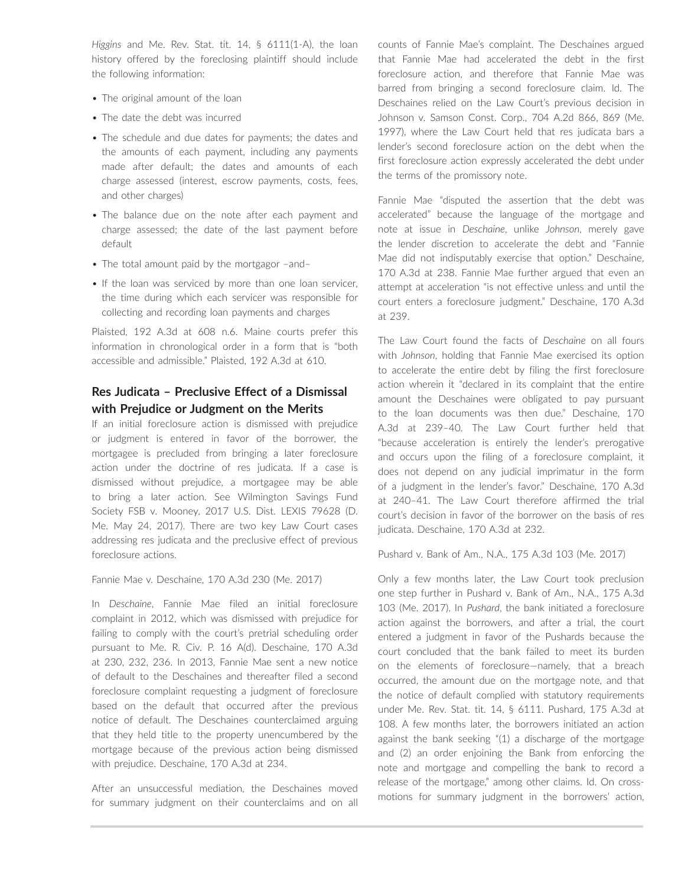*Higgins* and Me. Rev. Stat. tit. 14, § 6111(1-A), the loan history offered by the foreclosing plaintiff should include the following information:

- The original amount of the loan
- The date the debt was incurred
- The schedule and due dates for payments; the dates and the amounts of each payment, including any payments made after default; the dates and amounts of each charge assessed (interest, escrow payments, costs, fees, and other charges)
- The balance due on the note after each payment and charge assessed; the date of the last payment before default
- The total amount paid by the mortgagor –and–
- If the loan was serviced by more than one loan servicer, the time during which each servicer was responsible for collecting and recording loan payments and charges

Plaisted, 192 A.3d at 608 n.6. Maine courts prefer this information in chronological order in a form that is "both accessible and admissible." Plaisted, 192 A.3d at 610.

# **Res Judicata – Preclusive Effect of a Dismissal with Prejudice or Judgment on the Merits**

If an initial foreclosure action is dismissed with prejudice or judgment is entered in favor of the borrower, the mortgagee is precluded from bringing a later foreclosure action under the doctrine of res judicata. If a case is dismissed without prejudice, a mortgagee may be able to bring a later action. See Wilmington Savings Fund Society FSB v. Mooney, 2017 U.S. Dist. LEXIS 79628 (D. Me. May 24, 2017). There are two key Law Court cases addressing res judicata and the preclusive effect of previous foreclosure actions.

Fannie Mae v. Deschaine, 170 A.3d 230 (Me. 2017)

In *Deschaine*, Fannie Mae filed an initial foreclosure complaint in 2012, which was dismissed with prejudice for failing to comply with the court's pretrial scheduling order pursuant to Me. R. Civ. P. 16 A(d). Deschaine, 170 A.3d at 230, 232, 236. In 2013, Fannie Mae sent a new notice of default to the Deschaines and thereafter filed a second foreclosure complaint requesting a judgment of foreclosure based on the default that occurred after the previous notice of default. The Deschaines counterclaimed arguing that they held title to the property unencumbered by the mortgage because of the previous action being dismissed with prejudice. Deschaine, 170 A.3d at 234.

After an unsuccessful mediation, the Deschaines moved for summary judgment on their counterclaims and on all counts of Fannie Mae's complaint. The Deschaines argued that Fannie Mae had accelerated the debt in the first foreclosure action, and therefore that Fannie Mae was barred from bringing a second foreclosure claim. Id. The Deschaines relied on the Law Court's previous decision in Johnson v. Samson Const. Corp., 704 A.2d 866, 869 (Me. 1997), where the Law Court held that res judicata bars a lender's second foreclosure action on the debt when the first foreclosure action expressly accelerated the debt under the terms of the promissory note.

Fannie Mae "disputed the assertion that the debt was accelerated" because the language of the mortgage and note at issue in *Deschaine*, unlike *Johnson*, merely gave the lender discretion to accelerate the debt and "Fannie Mae did not indisputably exercise that option." Deschaine, 170 A.3d at 238. Fannie Mae further argued that even an attempt at acceleration "is not effective unless and until the court enters a foreclosure judgment." Deschaine, 170 A.3d at 239.

The Law Court found the facts of *Deschaine* on all fours with *Johnson*, holding that Fannie Mae exercised its option to accelerate the entire debt by filing the first foreclosure action wherein it "declared in its complaint that the entire amount the Deschaines were obligated to pay pursuant to the loan documents was then due." Deschaine, 170 A.3d at 239–40. The Law Court further held that "because acceleration is entirely the lender's prerogative and occurs upon the filing of a foreclosure complaint, it does not depend on any judicial imprimatur in the form of a judgment in the lender's favor." Deschaine, 170 A.3d at 240–41. The Law Court therefore affirmed the trial court's decision in favor of the borrower on the basis of res judicata. Deschaine, 170 A.3d at 232.

Pushard v. Bank of Am., N.A., 175 A.3d 103 (Me. 2017)

Only a few months later, the Law Court took preclusion one step further in Pushard v. Bank of Am., N.A., 175 A.3d 103 (Me. 2017). In *Pushard*, the bank initiated a foreclosure action against the borrowers, and after a trial, the court entered a judgment in favor of the Pushards because the court concluded that the bank failed to meet its burden on the elements of foreclosure—namely, that a breach occurred, the amount due on the mortgage note, and that the notice of default complied with statutory requirements under Me. Rev. Stat. tit. 14, § 6111. Pushard, 175 A.3d at 108. A few months later, the borrowers initiated an action against the bank seeking "(1) a discharge of the mortgage and (2) an order enjoining the Bank from enforcing the note and mortgage and compelling the bank to record a release of the mortgage," among other claims. Id. On crossmotions for summary judgment in the borrowers' action,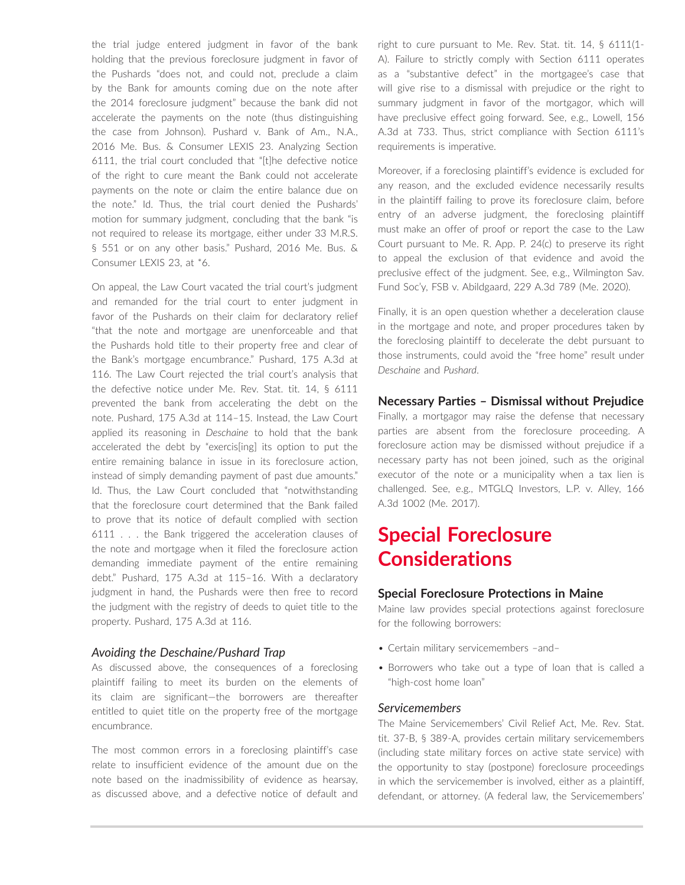the trial judge entered judgment in favor of the bank holding that the previous foreclosure judgment in favor of the Pushards "does not, and could not, preclude a claim by the Bank for amounts coming due on the note after the 2014 foreclosure judgment" because the bank did not accelerate the payments on the note (thus distinguishing the case from Johnson). Pushard v. Bank of Am., N.A., 2016 Me. Bus. & Consumer LEXIS 23. Analyzing Section 6111, the trial court concluded that "[t]he defective notice of the right to cure meant the Bank could not accelerate payments on the note or claim the entire balance due on the note." Id. Thus, the trial court denied the Pushards' motion for summary judgment, concluding that the bank "is not required to release its mortgage, either under 33 M.R.S. § 551 or on any other basis." Pushard, 2016 Me. Bus. & Consumer LEXIS 23, at \*6.

On appeal, the Law Court vacated the trial court's judgment and remanded for the trial court to enter judgment in favor of the Pushards on their claim for declaratory relief "that the note and mortgage are unenforceable and that the Pushards hold title to their property free and clear of the Bank's mortgage encumbrance." Pushard, 175 A.3d at 116. The Law Court rejected the trial court's analysis that the defective notice under Me. Rev. Stat. tit. 14, § 6111 prevented the bank from accelerating the debt on the note. Pushard, 175 A.3d at 114–15. Instead, the Law Court applied its reasoning in *Deschaine* to hold that the bank accelerated the debt by "exercis[ing] its option to put the entire remaining balance in issue in its foreclosure action, instead of simply demanding payment of past due amounts." Id. Thus, the Law Court concluded that "notwithstanding that the foreclosure court determined that the Bank failed to prove that its notice of default complied with section 6111 . . . the Bank triggered the acceleration clauses of the note and mortgage when it filed the foreclosure action demanding immediate payment of the entire remaining debt." Pushard, 175 A.3d at 115–16. With a declaratory judgment in hand, the Pushards were then free to record the judgment with the registry of deeds to quiet title to the property. Pushard, 175 A.3d at 116.

#### *Avoiding the Deschaine/Pushard Trap*

As discussed above, the consequences of a foreclosing plaintiff failing to meet its burden on the elements of its claim are significant—the borrowers are thereafter entitled to quiet title on the property free of the mortgage encumbrance.

The most common errors in a foreclosing plaintiff's case relate to insufficient evidence of the amount due on the note based on the inadmissibility of evidence as hearsay, as discussed above, and a defective notice of default and right to cure pursuant to Me. Rev. Stat. tit. 14, § 6111(1- A). Failure to strictly comply with Section 6111 operates as a "substantive defect" in the mortgagee's case that will give rise to a dismissal with prejudice or the right to summary judgment in favor of the mortgagor, which will have preclusive effect going forward. See, e.g., Lowell, 156 A.3d at 733. Thus, strict compliance with Section 6111's requirements is imperative.

Moreover, if a foreclosing plaintiff's evidence is excluded for any reason, and the excluded evidence necessarily results in the plaintiff failing to prove its foreclosure claim, before entry of an adverse judgment, the foreclosing plaintiff must make an offer of proof or report the case to the Law Court pursuant to Me. R. App. P. 24(c) to preserve its right to appeal the exclusion of that evidence and avoid the preclusive effect of the judgment. See, e.g., Wilmington Sav. Fund Soc'y, FSB v. Abildgaard, 229 A.3d 789 (Me. 2020).

Finally, it is an open question whether a deceleration clause in the mortgage and note, and proper procedures taken by the foreclosing plaintiff to decelerate the debt pursuant to those instruments, could avoid the "free home" result under *Deschaine* and *Pushard*.

## **Necessary Parties – Dismissal without Prejudice**

Finally, a mortgagor may raise the defense that necessary parties are absent from the foreclosure proceeding. A foreclosure action may be dismissed without prejudice if a necessary party has not been joined, such as the original executor of the note or a municipality when a tax lien is challenged. See, e.g., MTGLQ Investors, L.P. v. Alley, 166 A.3d 1002 (Me. 2017).

# **Special Foreclosure Considerations**

#### **Special Foreclosure Protections in Maine**

Maine law provides special protections against foreclosure for the following borrowers:

- Certain military servicemembers –and–
- Borrowers who take out a type of loan that is called a "high-cost home loan"

#### *Servicemembers*

The Maine Servicemembers' Civil Relief Act, Me. Rev. Stat. tit. 37-B, § 389-A, provides certain military servicemembers (including state military forces on active state service) with the opportunity to stay (postpone) foreclosure proceedings in which the servicemember is involved, either as a plaintiff, defendant, or attorney. (A federal law, the Servicemembers'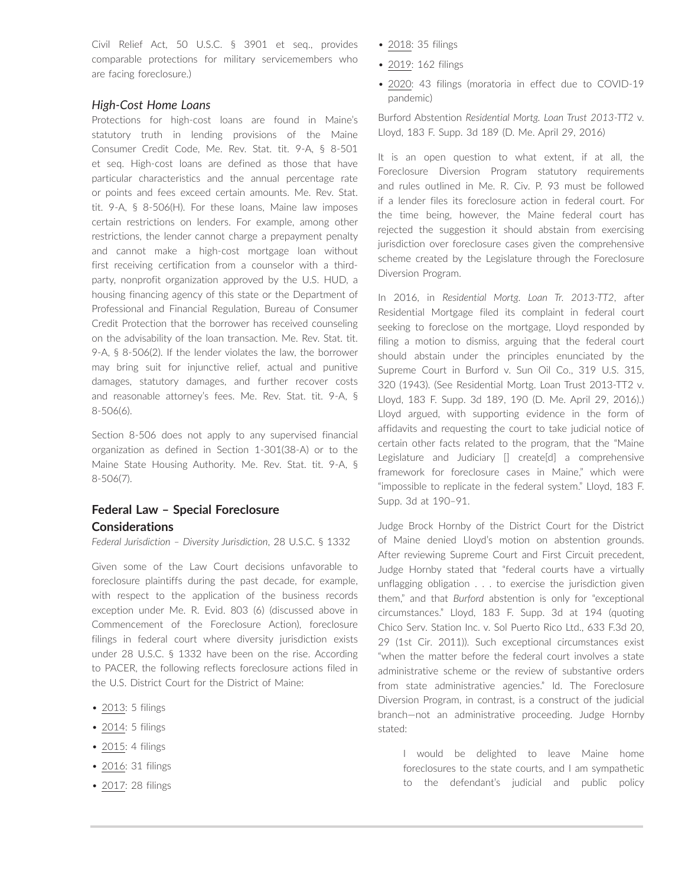Civil Relief Act, 50 U.S.C. § 3901 et seq., provides comparable protections for military servicemembers who are facing foreclosure.)

# *High-Cost Home Loans*

Protections for high-cost loans are found in Maine's statutory truth in lending provisions of the Maine Consumer Credit Code, Me. Rev. Stat. tit. 9-A, § 8-501 et seq. High-cost loans are defined as those that have particular characteristics and the annual percentage rate or points and fees exceed certain amounts. Me. Rev. Stat. tit. 9-A, § 8-506(H). For these loans, Maine law imposes certain restrictions on lenders. For example, among other restrictions, the lender cannot charge a prepayment penalty and cannot make a high-cost mortgage loan without first receiving certification from a counselor with a thirdparty, nonprofit organization approved by the U.S. HUD, a housing financing agency of this state or the Department of Professional and Financial Regulation, Bureau of Consumer Credit Protection that the borrower has received counseling on the advisability of the loan transaction. Me. Rev. Stat. tit. 9-A, § 8-506(2). If the lender violates the law, the borrower may bring suit for injunctive relief, actual and punitive damages, statutory damages, and further recover costs and reasonable attorney's fees. Me. Rev. Stat. tit. 9-A, § 8-506(6).

Section 8-506 does not apply to any supervised financial organization as defined in Section 1-301(38-A) or to the Maine State Housing Authority. Me. Rev. Stat. tit. 9-A, § 8-506(7).

# **Federal Law – Special Foreclosure Considerations**

*Federal Jurisdiction – Diversity Jurisdiction*, 28 U.S.C. § 1332

Given some of the Law Court decisions unfavorable to foreclosure plaintiffs during the past decade, for example, with respect to the application of the business records exception under Me. R. Evid. 803 (6) (discussed above in Commencement of the Foreclosure Action), foreclosure filings in federal court where diversity jurisdiction exists under 28 U.S.C. § 1332 have been on the rise. According to PACER, the following reflects foreclosure actions filed in the U.S. District Court for the District of Maine:

- 2013: 5 filings
- 2014: 5 filings
- 2015: 4 filings
- 2016: 31 filings
- 2017: 28 filings
- 2018: 35 filings
- 2019: 162 filings
- 2020: 43 filings (moratoria in effect due to COVID-19 pandemic)

Burford Abstention *Residential Mortg. Loan Trust 2013-TT2* v. Lloyd, 183 F. Supp. 3d 189 (D. Me. April 29, 2016)

It is an open question to what extent, if at all, the Foreclosure Diversion Program statutory requirements and rules outlined in Me. R. Civ. P. 93 must be followed if a lender files its foreclosure action in federal court. For the time being, however, the Maine federal court has rejected the suggestion it should abstain from exercising jurisdiction over foreclosure cases given the comprehensive scheme created by the Legislature through the Foreclosure Diversion Program.

In 2016, in *Residential Mortg. Loan Tr. 2013-TT2*, after Residential Mortgage filed its complaint in federal court seeking to foreclose on the mortgage, Lloyd responded by filing a motion to dismiss, arguing that the federal court should abstain under the principles enunciated by the Supreme Court in Burford v. Sun Oil Co., 319 U.S. 315, 320 (1943). (See Residential Mortg. Loan Trust 2013-TT2 v. Lloyd, 183 F. Supp. 3d 189, 190 (D. Me. April 29, 2016).) Lloyd argued, with supporting evidence in the form of affidavits and requesting the court to take judicial notice of certain other facts related to the program, that the "Maine Legislature and Judiciary [] create[d] a comprehensive framework for foreclosure cases in Maine," which were "impossible to replicate in the federal system." Lloyd, 183 F. Supp. 3d at 190–91.

Judge Brock Hornby of the District Court for the District of Maine denied Lloyd's motion on abstention grounds. After reviewing Supreme Court and First Circuit precedent, Judge Hornby stated that "federal courts have a virtually unflagging obligation . . . to exercise the jurisdiction given them," and that *Burford* abstention is only for "exceptional circumstances." Lloyd, 183 F. Supp. 3d at 194 (quoting Chico Serv. Station Inc. v. Sol Puerto Rico Ltd., 633 F.3d 20, 29 (1st Cir. 2011)). Such exceptional circumstances exist "when the matter before the federal court involves a state administrative scheme or the review of substantive orders from state administrative agencies." Id. The Foreclosure Diversion Program, in contrast, is a construct of the judicial branch—not an administrative proceeding. Judge Hornby stated:

I would be delighted to leave Maine home foreclosures to the state courts, and I am sympathetic to the defendant's judicial and public policy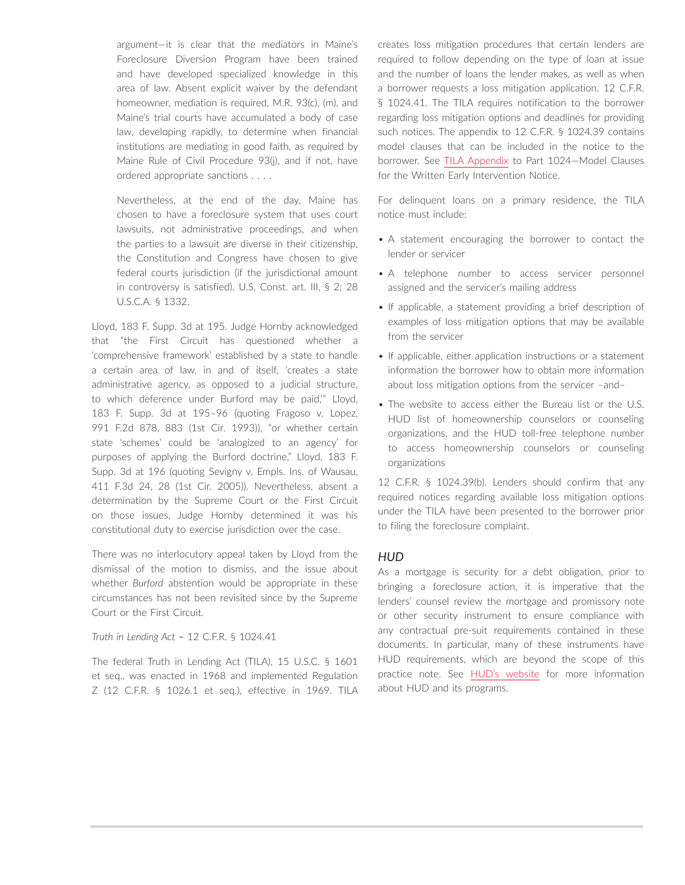argument—it is clear that the mediators in Maine's Foreclosure Diversion Program have been trained and have developed specialized knowledge in this area of law. Absent explicit waiver by the defendant homeowner, mediation is required, M.R. 93(c), (m), and Maine's trial courts have accumulated a body of case law, developing rapidly, to determine when financial institutions are mediating in good faith, as required by Maine Rule of Civil Procedure 93(j), and if not, have ordered appropriate sanctions . . . .

Nevertheless, at the end of the day, Maine has chosen to have a foreclosure system that uses court lawsuits, not administrative proceedings, and when the parties to a lawsuit are diverse in their citizenship, the Constitution and Congress have chosen to give federal courts jurisdiction (if the jurisdictional amount in controversy is satisfied). U.S. Const. art. III, § 2; 28 U.S.C.A. § 1332.

Lloyd, 183 F. Supp. 3d at 195. Judge Hornby acknowledged that "the First Circuit has questioned whether a 'comprehensive framework' established by a state to handle a certain area of law, in and of itself, 'creates a state administrative agency, as opposed to a judicial structure, to which deference under Burford may be paid,'" Lloyd, 183 F. Supp. 3d at 195–96 (quoting Fragoso v. Lopez, 991 F.2d 878, 883 (1st Cir. 1993)), "or whether certain state 'schemes' could be 'analogized to an agency' for purposes of applying the Burford doctrine," Lloyd, 183 F. Supp. 3d at 196 (quoting Sevigny v. Empls. Ins. of Wausau, 411 F.3d 24, 28 (1st Cir. 2005)). Nevertheless, absent a determination by the Supreme Court or the First Circuit on those issues, Judge Hornby determined it was his constitutional duty to exercise jurisdiction over the case.

There was no interlocutory appeal taken by Lloyd from the dismissal of the motion to dismiss, and the issue about whether *Burford* abstention would be appropriate in these circumstances has not been revisited since by the Supreme Court or the First Circuit.

*Truth in Lending Act –* 12 C.F.R. § 1024.41

The federal Truth in Lending Act (TILA), 15 U.S.C. § 1601 et seq., was enacted in 1968 and implemented Regulation Z (12 C.F.R. § 1026.1 et seq.), effective in 1969. TILA creates loss mitigation procedures that certain lenders are required to follow depending on the type of loan at issue and the number of loans the lender makes, as well as when a borrower requests a loss mitigation application. 12 C.F.R. § 1024.41. The TILA requires notification to the borrower regarding loss mitigation options and deadlines for providing such notices. The appendix to 12 C.F.R. § 1024.39 contains model clauses that can be included in the notice to the borrower. See [TILA Appendix](https://www.consumerfinance.gov/policy-compliance/rulemaking/regulations/1024/MS4/) to Part 1024—Model Clauses for the Written Early Intervention Notice.

For delinquent loans on a primary residence, the TILA notice must include:

- A statement encouraging the borrower to contact the lender or servicer
- A telephone number to access servicer personnel assigned and the servicer's mailing address
- If applicable, a statement providing a brief description of examples of loss mitigation options that may be available from the servicer
- If applicable, either application instructions or a statement information the borrower how to obtain more information about loss mitigation options from the servicer –and–
- The website to access either the Bureau list or the U.S. HUD list of homeownership counselors or counseling organizations, and the HUD toll-free telephone number to access homeownership counselors or counseling organizations

12 C.F.R. § 1024.39(b). Lenders should confirm that any required notices regarding available loss mitigation options under the TILA have been presented to the borrower prior to filing the foreclosure complaint.

#### *HUD*

As a mortgage is security for a debt obligation, prior to bringing a foreclosure action, it is imperative that the lenders' counsel review the mortgage and promissory note or other security instrument to ensure compliance with any contractual pre-suit requirements contained in these documents. In particular, many of these instruments have HUD requirements, which are beyond the scope of this practice note. See [HUD's website](http://www.hud.gov/) for more information about HUD and its programs.